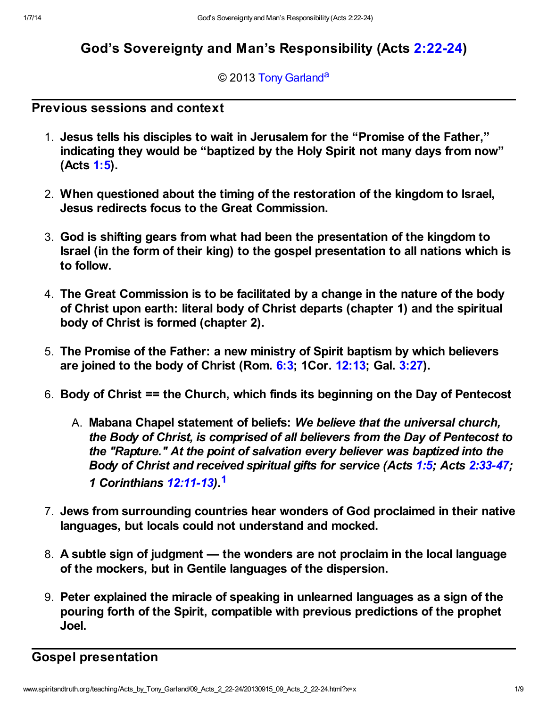# God's Sovereignty and Man's Responsibility (Acts [2:22-24\)](http://www.spiritandtruth.org/bibles/nasb/b44c002.htm#Acts_C2V22)

### <span id="page-0-1"></span>© 2013 [Tony Garland](http://www.spiritandtruth.org/id/tg.htm)<sup>[a](#page-8-0)</sup>

## Previous sessions and context

- 1. Jesus tells his disciples to wait in Jerusalem for the "Promise of the Father," indicating they would be "baptized by the Holy Spirit not many days from now" (Acts [1:5\)](http://www.spiritandtruth.org/bibles/nasb/b44c001.htm#Acts_C1V5).
- 2. When questioned about the timing of the restoration of the kingdom to Israel, Jesus redirects focus to the Great Commission.
- 3. God is shifting gears from what had been the presentation of the kingdom to Israel (in the form of their king) to the gospel presentation to all nations which is to follow.
- 4. The Great Commission is to be facilitated by a change in the nature of the body of Christ upon earth: literal body of Christ departs (chapter 1) and the spiritual body of Christ is formed (chapter 2).
- 5. The Promise of the Father: a new ministry of Spirit baptism by which believers are joined to the body of Christ (Rom.  $6:3$ ; 1Cor.  $12:13$ ; Gal.  $3:27$ ).
- 6. Body of Christ == the Church, which finds its beginning on the Day of Pentecost
	- A. Mabana Chapel statement of beliefs: We believe that the universal church, the Body of Christ, is comprised of all believers from the Day of Pentecost to the "Rapture." At the point of salvation every believer was baptized into the Body of Christ and received spiritual gifts for service (Acts [1:5;](http://www.spiritandtruth.org/bibles/nasb/b44c001.htm#Acts_C1V5) Acts [2:33-47;](http://www.spiritandtruth.org/bibles/nasb/b44c002.htm#Acts_C2V33) 1 Corinthians [12:11-13\)](http://www.spiritandtruth.org/bibles/nasb/b46c012.htm#1Cor._C12V11).[1](#page-7-0)
- <span id="page-0-0"></span>7. Jews from surrounding countries hear wonders of God proclaimed in their native languages, but locals could not understand and mocked.
- 8. A subtle sign of judgment the wonders are not proclaim in the local language of the mockers, but in Gentile languages of the dispersion.
- 9. Peter explained the miracle of speaking in unlearned languages as a sign of the pouring forth of the Spirit, compatible with previous predictions of the prophet Joel.

# Gospel presentation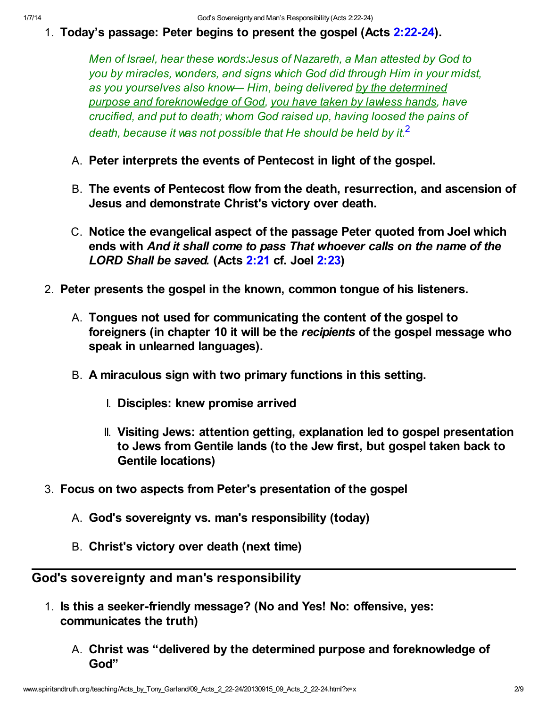1. Today's passage: Peter begins to present the gospel (Acts [2:22-24](http://www.spiritandtruth.org/bibles/nasb/b44c002.htm#Acts_C2V22)).

<span id="page-1-0"></span>Men of Israel, hear these words:Jesus of Nazareth, a Man attested by God to you by miracles, wonders, and signs which God did through Him in your midst, as you yourselves also know— Him, being delivered by the determined purpose and foreknowledge of God, you have taken by lawless hands, have crucified, and put to death; whom God raised up, having loosed the pains of death, because it was not possible that He should be held by it. $^2$  $^2$ 

- A. Peter interprets the events of Pentecost in light of the gospel.
- B. The events of Pentecost flow from the death, resurrection, and ascension of Jesus and demonstrate Christ's victory over death.
- C. Notice the evangelical aspect of the passage Peter quoted from Joel which ends with And it shall come to pass That whoever calls on the name of the LORD Shall be saved. (Acts [2:21](http://www.spiritandtruth.org/bibles/nasb/b44c002.htm#Acts_C2V21) cf. Joel [2:23](http://www.spiritandtruth.org/bibles/nasb/b29c002.htm#Joel_C2V23))
- 2. Peter presents the gospel in the known, common tongue of his listeners.
	- A. Tongues not used for communicating the content of the gospel to foreigners (in chapter 10 it will be the recipients of the gospel message who speak in unlearned languages).
	- B. A miraculous sign with two primary functions in this setting.
		- I. Disciples: knew promise arrived
		- II. Visiting Jews: attention getting, explanation led to gospel presentation to Jews from Gentile lands (to the Jew first, but gospel taken back to Gentile locations)
- 3. Focus on two aspects from Peter's presentation of the gospel
	- A. God's sovereignty vs. man's responsibility (today)
	- B. Christ's victory over death (next time)

God's sovereignty and man's responsibility

- 1. Is this a seeker-friendly message? (No and Yes! No: offensive, yes: communicates the truth)
	- A. Christ was "delivered by the determined purpose and foreknowledge of God"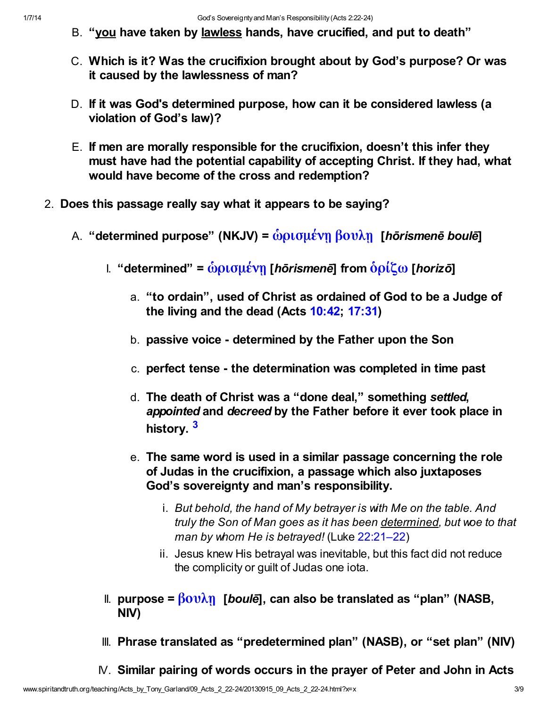- B. "you have taken by lawless hands, have crucified, and put to death"
- C. Which is it? Was the crucifixion brought about by God's purpose? Or was it caused by the lawlessness of man?
- D. If it was God's determined purpose, how can it be considered lawless (a violation of God's law)?
- E. If men are morally responsible for the crucifixion, doesn't this infer they must have had the potential capability of accepting Christ. If they had, what would have become of the cross and redemption?
- <span id="page-2-0"></span>2. Does this passage really say what it appears to be saying?
	- A. "determined purpose" (NKJV) = <u>ὧρισμένη βουλη</u> [hōrismenē boulē]
		- I. "determined" =  $\dot{\omega}$ ρισμένη [hōrismenē] from  $\dot{\delta}$ ρίζω [horizō]
			- a. "to ordain", used of Christ as ordained of God to be a Judge of the living and the dead (Acts [10:42;](http://www.spiritandtruth.org/bibles/nasb/b44c010.htm#Acts_C10V42) [17:31](http://www.spiritandtruth.org/bibles/nasb/b44c017.htm#Acts_C17V31))
			- b. passive voice determined by the Father upon the Son
			- c. perfect tense the determination was completed in time past
			- d. The death of Christ was a "done deal," something settled, appointed and decreed by the Father before it ever took place in history.<sup>[3](#page-7-2)</sup>
			- e. The same word is used in a similar passage concerning the role of Judas in the crucifixion, a passage which also juxtaposes God's sovereignty and man's responsibility.
				- i. But behold, the hand of My betrayer is with Me on the table. And truly the Son of Man goes as it has been determined, but woe to that man by whom He is betrayed! (Luke [22:21–22](http://www.spiritandtruth.org/bibles/nasb/b42c022.htm#Luke_C22V21))
				- ii. Jesus knew His betrayal was inevitable, but this fact did not reduce the complicity or guilt of Judas one iota.
		- II. purpose =  $\beta$ ουλη [boulē], can also be translated as "plan" (NASB, NIV)
		- III. Phrase translated as "predetermined plan" (NASB), or "set plan" (NIV)
		- IV. Similar pairing of words occurs in the prayer of Peter and John in Acts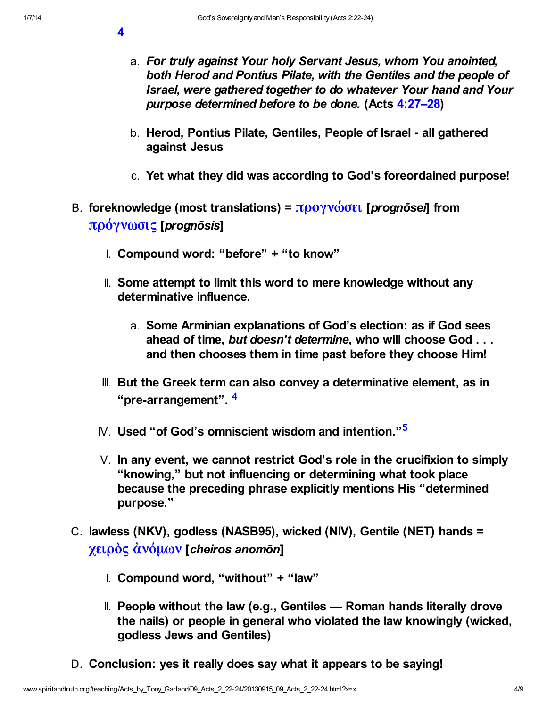[4](http://www.spiritandtruth.org/bibles/nasb/b44c004.htm#Acts_C4V1)

- a. For truly against Your holy Servant Jesus, whom You anointed, both Herod and Pontius Pilate, with the Gentiles and the people of Israel, were gathered together to do whatever Your hand and Your purpose determined before to be done. (Acts [4:27–28\)](http://www.spiritandtruth.org/bibles/nasb/b44c004.htm#Acts_C4V27)
- b. Herod, Pontius Pilate, Gentiles, People of Israel all gathered against Jesus
- c. Yet what they did was according to God's foreordained purpose!
- B. foreknowledge (most translations) =  $προγνώσει$  [*prognōsei*] from [πρόγνωσις](http://www.spiritandtruth.org/fontsu/index.htm) [prognōsis]
	- I. Compound word: "before" + "to know"
	- II. Some attempt to limit this word to mere knowledge without any determinative influence.
		- a. Some Arminian explanations of God's election: as if God sees ahead of time, but doesn't determine, who will choose God . . . and then chooses them in time past before they choose Him!
	- III. But the Greek term can also convey a determinative element, as in "pre-arrangement". [4](#page-7-3)
	- IV. Used "of God's omniscient wisdom and intention."<sup>[5](#page-7-4)</sup>
	- V. In any event, we cannot restrict God's role in the crucifixion to simply "knowing," but not influencing or determining what took place because the preceding phrase explicitly mentions His "determined purpose."
- <span id="page-3-1"></span><span id="page-3-0"></span>C. lawless (NKV), godless (NASB95), wicked (NIV), Gentile (NET) hands = [χειρὸς ἀνόμων](http://www.spiritandtruth.org/fontsu/index.htm) [cheiros anomōn]
	- I. Compound word, "without" + "law"
	- II. People without the law (e.g., Gentiles Roman hands literally drove the nails) or people in general who violated the law knowingly (wicked, godless Jews and Gentiles)
- D. Conclusion: yes it really does say what it appears to be saying!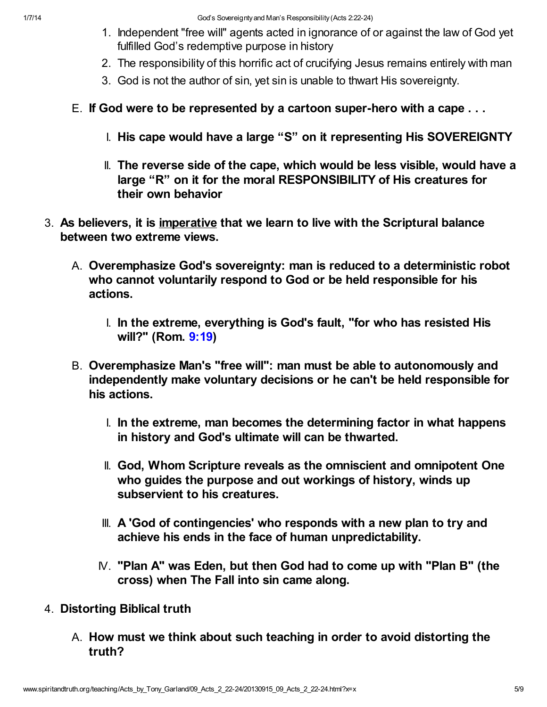- 1. Independent "free will" agents acted in ignorance of or against the law of God yet fulfilled God's redemptive purpose in history
- 2. The responsibility of this horrific act of crucifying Jesus remains entirely with man
- 3. God is not the author of sin, yet sin is unable to thwart His sovereignty.
- E. If God were to be represented by a cartoon super-hero with a cape . . .
	- I. His cape would have a large "S" on it representing His SOVEREIGNTY
	- II. The reverse side of the cape, which would be less visible, would have a large "R" on it for the moral RESPONSIBILITY of His creatures for their own behavior
- 3. As believers, it is imperative that we learn to live with the Scriptural balance between two extreme views.
	- A. Overemphasize God's sovereignty: man is reduced to a deterministic robot who cannot voluntarily respond to God or be held responsible for his actions.
		- I. In the extreme, everything is God's fault, "for who has resisted His will?" (Rom. [9:19](http://www.spiritandtruth.org/bibles/nasb/b45c009.htm#Rom._C9V19))
	- B. Overemphasize Man's "free will": man must be able to autonomously and independently make voluntary decisions or he can't be held responsible for his actions.
		- I. In the extreme, man becomes the determining factor in what happens in history and God's ultimate will can be thwarted.
		- II. God, Whom Scripture reveals as the omniscient and omnipotent One who guides the purpose and out workings of history, winds up subservient to his creatures.
		- III. A 'God of contingencies' who responds with a new plan to try and achieve his ends in the face of human unpredictability.
		- IV. "Plan A" was Eden, but then God had to come up with "Plan B" (the cross) when The Fall into sin came along.
- 4. Distorting Biblical truth
	- A. How must we think about such teaching in order to avoid distorting the truth?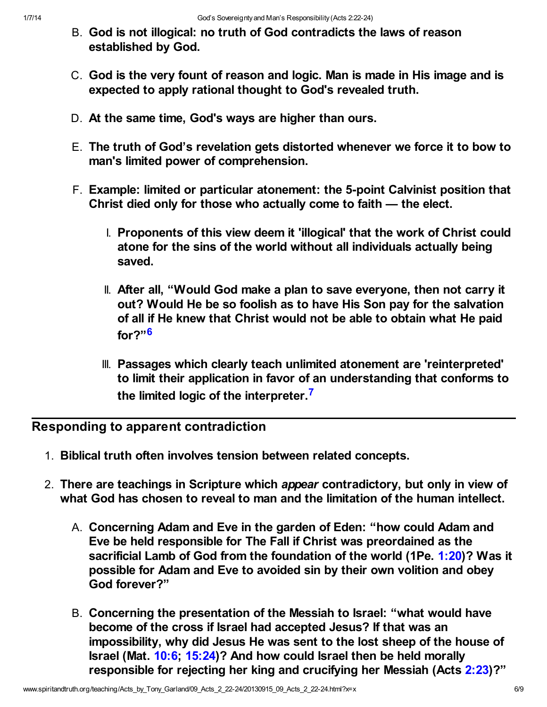- B. God is not illogical: no truth of God contradicts the laws of reason established by God.
- C. God is the very fount of reason and logic. Man is made in His image and is expected to apply rational thought to God's revealed truth.
- D. At the same time, God's ways are higher than ours.
- E. The truth of God's revelation gets distorted whenever we force it to bow to man's limited power of comprehension.
- F. Example: limited or particular atonement: the 5-point Calvinist position that Christ died only for those who actually come to faith — the elect.
	- I. Proponents of this view deem it 'illogical' that the work of Christ could atone for the sins of the world without all individuals actually being saved.
	- II. After all, "Would God make a plan to save everyone, then not carry it out? Would He be so foolish as to have His Son pay for the salvation of all if He knew that Christ would not be able to obtain what He paid for?"[6](#page-7-5)
	- III. Passages which clearly teach unlimited atonement are 'reinterpreted' to limit their application in favor of an understanding that conforms to the limited logic of the interpreter.<sup>[7](#page-7-6)</sup>

<span id="page-5-0"></span>Responding to apparent contradiction

- <span id="page-5-1"></span>1. Biblical truth often involves tension between related concepts.
- 2. There are teachings in Scripture which appear contradictory, but only in view of what God has chosen to reveal to man and the limitation of the human intellect.
	- A. Concerning Adam and Eve in the garden of Eden: "how could Adam and Eve be held responsible for The Fall if Christ was preordained as the sacrificial Lamb of God from the foundation of the world (1Pe. [1:20\)](http://www.spiritandtruth.org/bibles/nasb/b60c001.htm#1Pe._C1V20)? Was it possible for Adam and Eve to avoided sin by their own volition and obey God forever?"
	- B. Concerning the presentation of the Messiah to Israel: "what would have become of the cross if Israel had accepted Jesus? If that was an impossibility, why did Jesus He was sent to the lost sheep of the house of Israel (Mat. [10:6;](http://www.spiritandtruth.org/bibles/nasb/b40c010.htm#Mat._C10V6) [15:24](http://www.spiritandtruth.org/bibles/nasb/b40c015.htm#Mat._C15V24))? And how could Israel then be held morally responsible for rejecting her king and crucifying her Messiah (Acts [2:23](http://www.spiritandtruth.org/bibles/nasb/b44c002.htm#Acts_C2V23))?"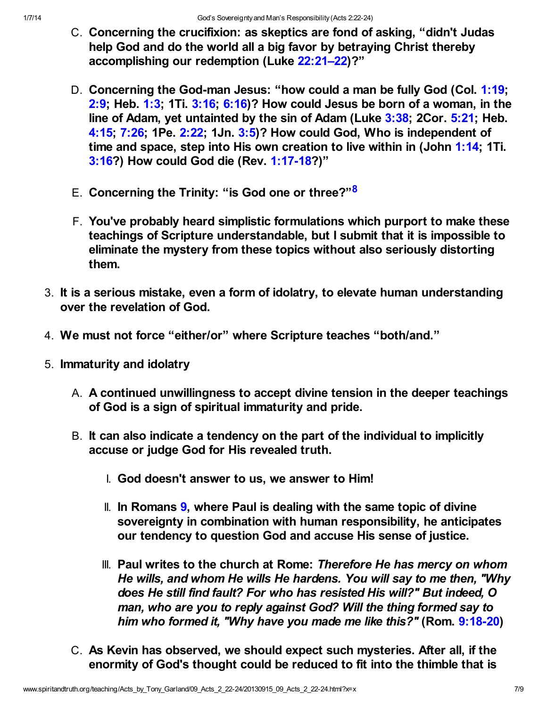- C. Concerning the crucifixion: as skeptics are fond of asking, "didn't Judas help God and do the world all a big favor by betraying Christ thereby accomplishing our redemption (Luke [22:21–22\)](http://www.spiritandtruth.org/bibles/nasb/b42c022.htm#Luke_C22V21)?"
- D. Concerning the God-man Jesus: "how could a man be fully God (Col. [1:19;](http://www.spiritandtruth.org/bibles/nasb/b51c001.htm#Col._C1V19) [2:9;](http://www.spiritandtruth.org/bibles/nasb/b51c002.htm#Col._C2V9) Heb. [1:3;](http://www.spiritandtruth.org/bibles/nasb/b58c001.htm#Heb._C1V3) 1Ti.  $3:16$ ;  $6:16$ )? How could Jesus be born of a woman, in the line of Adam, yet untainted by the sin of Adam (Luke [3:38](http://www.spiritandtruth.org/bibles/nasb/b42c003.htm#Luke_C3V38); 2Cor. [5:21](http://www.spiritandtruth.org/bibles/nasb/b47c005.htm#2Cor._C5V21); Heb. [4:15;](http://www.spiritandtruth.org/bibles/nasb/b58c004.htm#Heb._C4V15) [7:26](http://www.spiritandtruth.org/bibles/nasb/b58c007.htm#Heb._C7V26); 1Pe. [2:22;](http://www.spiritandtruth.org/bibles/nasb/b60c002.htm#1Pe._C2V22) 1Jn. [3:5](http://www.spiritandtruth.org/bibles/nasb/b62c003.htm#1Jn._C3V5))? How could God, Who is independent of time and space, step into His own creation to live within in (John [1:14;](http://www.spiritandtruth.org/bibles/nasb/b43c001.htm#John_C1V14) 1Ti. [3:16?](http://www.spiritandtruth.org/bibles/nasb/b54c003.htm#1Ti._C3V16)) How could God die (Rev. [1:17-18?](http://www.spiritandtruth.org/bibles/nasb/b66c001.htm#Rev._C1V17))"
- E. Concerning the Trinity: "is God one or three?"<sup>[8](#page-7-7)</sup>
- <span id="page-6-0"></span>F. You've probably heard simplistic formulations which purport to make these teachings of Scripture understandable, but I submit that it is impossible to eliminate the mystery from these topics without also seriously distorting them.
- 3. It is a serious mistake, even a form of idolatry, to elevate human understanding over the revelation of God.
- 4. We must not force "either/or" where Scripture teaches "both/and."
- 5. Immaturity and idolatry
	- A. A continued unwillingness to accept divine tension in the deeper teachings of God is a sign of spiritual immaturity and pride.
	- B. It can also indicate a tendency on the part of the individual to implicitly accuse or judge God for His revealed truth.
		- I. God doesn't answer to us, we answer to Him!
		- II. In Romans [9](http://www.spiritandtruth.org/bibles/nasb/b45c009.htm#Rom._C9V1), where Paul is dealing with the same topic of divine sovereignty in combination with human responsibility, he anticipates our tendency to question God and accuse His sense of justice.
		- III. Paul writes to the church at Rome: Therefore He has mercy on whom He wills, and whom He wills He hardens. You will say to me then, "Why does He still find fault? For who has resisted His will?" But indeed, O man, who are you to reply against God? Will the thing formed say to him who formed it, "Why have you made me like this?" (Rom. [9:18-20](http://www.spiritandtruth.org/bibles/nasb/b45c009.htm#Rom._C9V18))
	- C. As Kevin has observed, we should expect such mysteries. After all, if the enormity of God's thought could be reduced to fit into the thimble that is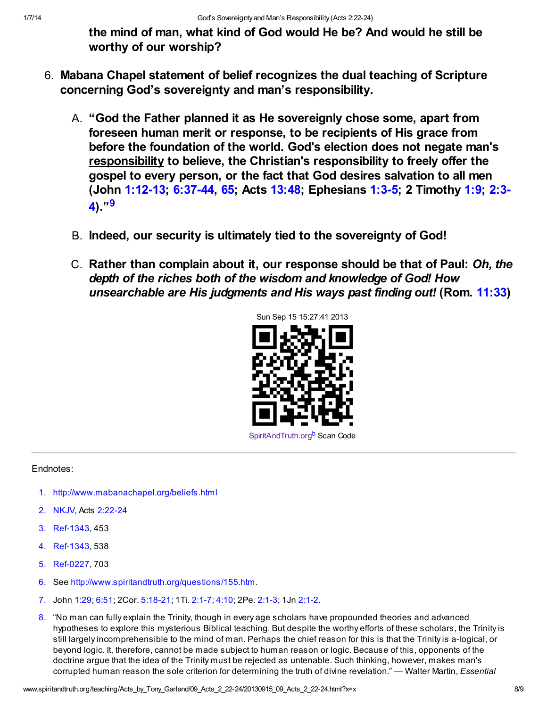the mind of man, what kind of God would He be? And would he still be worthy of our worship?

- <span id="page-7-8"></span>6. Mabana Chapel statement of belief recognizes the dual teaching of Scripture concerning God's sovereignty and man's responsibility.
	- A. "God the Father planned it as He sovereignly chose some, apart from foreseen human merit or response, to be recipients of His grace from before the foundation of the world. God's election does not negate man's responsibility to believe, the Christian's responsibility to freely offer the gospel to every person, or the fact that God desires salvation to all men [\(John 1:12-13; 6:37-44, 65; Acts 13:48; Ephesians 1:3-5; 2 Timothy 1:9; 2:3-](http://www.spiritandtruth.org/bibles/nasb/b55c002.htm#2Ti._C2V3)  $4)$ .  $9$
	- B. Indeed, our security is ultimately tied to the sovereignty of God!
	- C. Rather than complain about it, our response should be that of Paul: Oh, the depth of the riches both of the wisdom and knowledge of God! How unsearchable are His judgments and His ways past finding out! (Rom. [11:33](http://www.spiritandtruth.org/bibles/nasb/b45c011.htm#Rom._C11V33))

<span id="page-7-9"></span>

### Endnotes:

- <span id="page-7-0"></span>[1.](#page-0-0)<http://www.mabanachapel.org/beliefs.html>
- <span id="page-7-1"></span>[2.](#page-1-0) NKJV, Acts [2:22-24](http://www.spiritandtruth.org/bibles/nasb/b44c002.htm#Acts_C2V22)
- <span id="page-7-2"></span>[3.](#page-2-0) Ref-1343, 453
- <span id="page-7-3"></span>[4.](#page-3-0) Ref-1343, 538
- <span id="page-7-4"></span>[5.](#page-3-1) Ref-0227, 703
- <span id="page-7-5"></span>[6.](#page-5-0) See<http://www.spiritandtruth.org/questions/155.htm>.
- <span id="page-7-6"></span>[7.](#page-5-1) John [1:29;](http://www.spiritandtruth.org/bibles/nasb/b43c001.htm#John_C1V29) [6:51;](http://www.spiritandtruth.org/bibles/nasb/b43c006.htm#John_C6V51) 2Cor. [5:18-21;](http://www.spiritandtruth.org/bibles/nasb/b47c005.htm#2Cor._C5V18) 1Ti. [2:1-7](http://www.spiritandtruth.org/bibles/nasb/b54c002.htm#1Ti._C2V1); [4:10](http://www.spiritandtruth.org/bibles/nasb/b54c004.htm#1Ti._C4V10); 2Pe. [2:1-3;](http://www.spiritandtruth.org/bibles/nasb/b61c002.htm#2Pe._C2V1) 1Jn [2:1-2.](http://www.spiritandtruth.org/bibles/nasb/b62c002.htm#1Jn._C2V1)
- <span id="page-7-7"></span>[8.](#page-6-0) "No man can fully explain the Trinity, though in every age scholars have propounded theories and advanced hypotheses to explore this mysterious Biblical teaching. But despite the worthy efforts of these scholars, the Trinity is still largely incomprehensible to the mind of man. Perhaps the chief reason for this is that the Trinity is a-logical, or beyond logic. It, therefore, cannot be made subject to human reason or logic. Because of this, opponents of the doctrine argue that the idea of the Trinity must be rejected as untenable. Such thinking, however, makes man's corrupted human reason the sole criterion for determining the truth of divine revelation." — Walter Martin, *Essential*